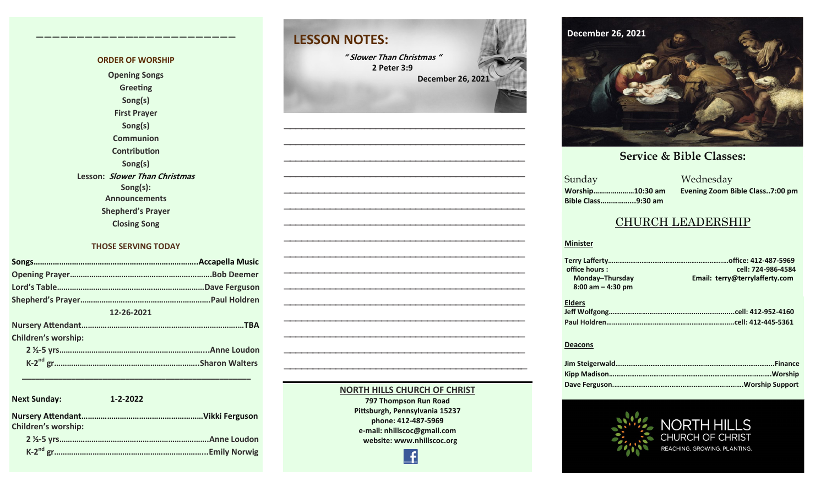#### **ORDER OF WORSHIP Opening Songs Greeting Song(s) First Prayer Song(s) Communion Contribution Song(s) Lesson: Slower Than Christmas Song(s): Announcements Shepherd's Prayer Closing Song**

**————————————–————————————**

#### **THOSE SERVING TODAY**

| 12-26-2021                 |  |  |
|----------------------------|--|--|
|                            |  |  |
| <b>Children's worship:</b> |  |  |
|                            |  |  |
|                            |  |  |
|                            |  |  |

| <b>Next Sunday:</b>        | $1 - 2 - 2022$     |
|----------------------------|--------------------|
| <b>Children's worship:</b> |                    |
|                            | <b>Anne Loudon</b> |
|                            | Emily Norwig       |

 **\_\_\_\_\_\_\_\_\_\_\_\_\_\_\_\_\_\_\_\_\_\_\_\_\_\_\_\_\_\_\_\_\_\_\_\_\_\_\_\_\_\_\_\_\_\_\_\_\_\_\_**



**—————————————————————————————————————————— —————————————————————————————————————————— —————————————————————————————————————————— —————————————————————————————————————————— —————————————————————————————————————————— —————————————————————————————————————————— —————————————————————————————————————————— —————————————————————————————————————————— —————————————————————————————————————————— —————————————————————————————————————————— —————————————————————————————————————————— —————————————————————————————————————————— —————————————————————————————————————————–—**

> **NORTH HILLS CHURCH OF CHRIST 797 Thompson Run Road Pittsburgh, Pennsylvania 15237 phone: 412-487-5969 e-mail: nhillscoc@gmail.com website: www.nhillscoc.org**

> > Æ



**September 24, 2017 October 8, 2017 October 15, 2017 October 8, 2017 October 22, 2017 October 29, 2017 November 5, 2017 November 12, 2017 November 26, 2017 December 10, 2017 December 24, 2017 January 7, 2017 January 7, 2017 February 21, 2021**

a Mednesday<br>Sunday Mednesday **Sunday Bible Class……………...9:30 am**

**Worship…………………10:30 am Evening Zoom Bible Class..7:00 pm**

 $\overline{\phantom{a}}$  S

#### CHURCH LEADERSHIP

#### **Minister**

| office hours:         | cell: 724-986-4584             |
|-----------------------|--------------------------------|
| Monday-Thursday       | Email: terry@terrylafferty.com |
| $8:00$ am $-$ 4:30 pm |                                |
| <b>Elders</b>         |                                |
|                       |                                |

#### **Deacons**